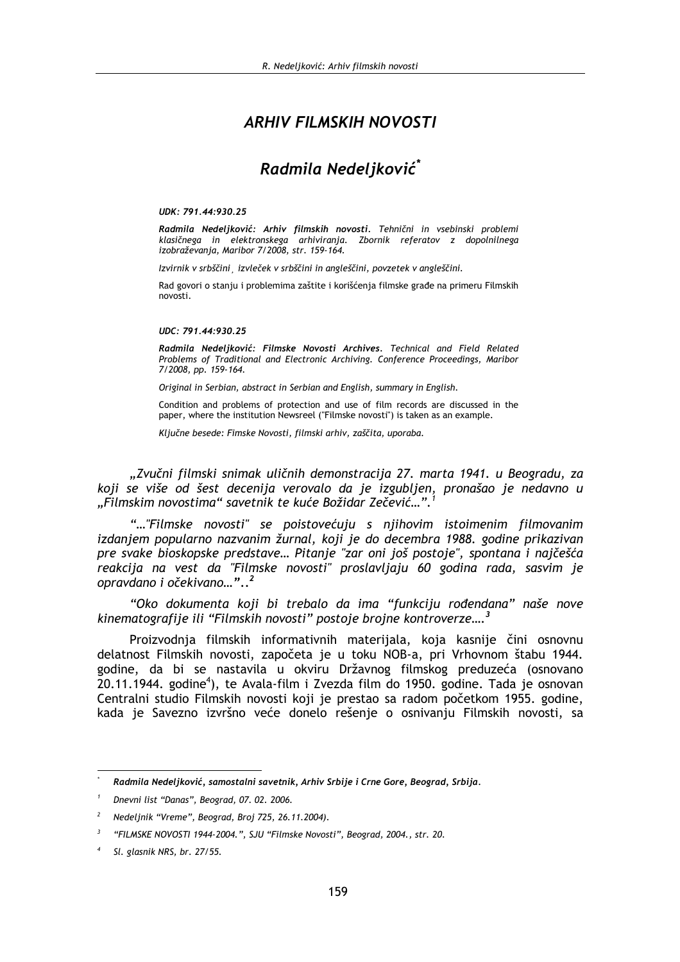# **ARHIV FILMSKIH NOVOSTI**

# Radmila Nedeljković\*

#### UDK: 791.44:930.25

Radmila Nedeljković: Arhiv filmskih novosti. Tehnični in vsebinski problemi klasičnega in elektronskega arhiviranja. Zbornik referatov z dopolnilnega izobraževania, Maribor 7/2008, str. 159-164.

Izvirnik v srbščini izvleček v srbščini in angleščini, povzetek v angleščini.

Rad govori o stanju i problemima zaštite i korišćenja filmske građe na primeru Filmskih novosti.

#### $IIDC \cdot 791 44.930 25$

Radmila Nedeljković: Filmske Novosti Archives. Technical and Field Related Problems of Traditional and Electronic Archiving. Conference Proceedings, Maribor 7/2008, pp. 159-164.

Original in Serbian, abstract in Serbian and English, summary in English.

Condition and problems of protection and use of film records are discussed in the paper, where the institution Newsreel ("Filmske novosti") is taken as an example.

Ključne besede: Fimske Novosti, filmski arhiv, zaščita, uporaba.

"Zvučni filmski snimak uličnih demonstracija 27. marta 1941. u Beogradu, za koji se više od šest decenija verovalo da je izgubljen, pronašao je nedavno u "Filmskim novostima" savetnik te kuće Božidar Zečević...".

"..."Filmske novosti" se poistovećuju s njihovim istoimenim filmovanim izdanjem popularno nazvanim žurnal, koji je do decembra 1988. godine prikazivan pre svake bioskopske predstave... Pitanje "zar oni još postoje", spontana i najčešća reakcija na vest da "Filmske novosti" proslavljaju 60 godina rada, sasvim je opravdano i očekivano..."..<sup>2</sup>

"Oko dokumenta koji bi trebalo da ima "funkciju rođendana" naše nove kinematografije ili "Filmskih novosti" postoje brojne kontroverze....<sup>3</sup>

Proizvodnja filmskih informativnih materijala, koja kasnije čini osnovnu delatnost Filmskih novosti, započeta je u toku NOB-a, pri Vrhovnom štabu 1944. godine, da bi se nastavila u okviru Državnog filmskog preduzeća (osnovano 20.11.1944. godine<sup>4</sup>), te Avala-film i Zvezda film do 1950. godine. Tada je osnovan Centralni studio Filmskih novosti koji je prestao sa radom početkom 1955. godine, kada je Savezno izvršno veće donelo rešenje o osnivanju Filmskih novosti, sa

Radmila Nedeljković, samostalni savetnik, Arhiv Srbije i Crne Gore, Beograd, Srbija.

Dnevni list "Danas", Beograd, 07, 02, 2006.

Nedeljnik "Vreme", Beograd, Broj 725, 26.11.2004).

<sup>&</sup>quot;FILMSKE NOVOSTI 1944-2004.", SJU "Filmske Novosti", Beograd, 2004., str. 20.

Sl. glasnik NRS, br. 27/55.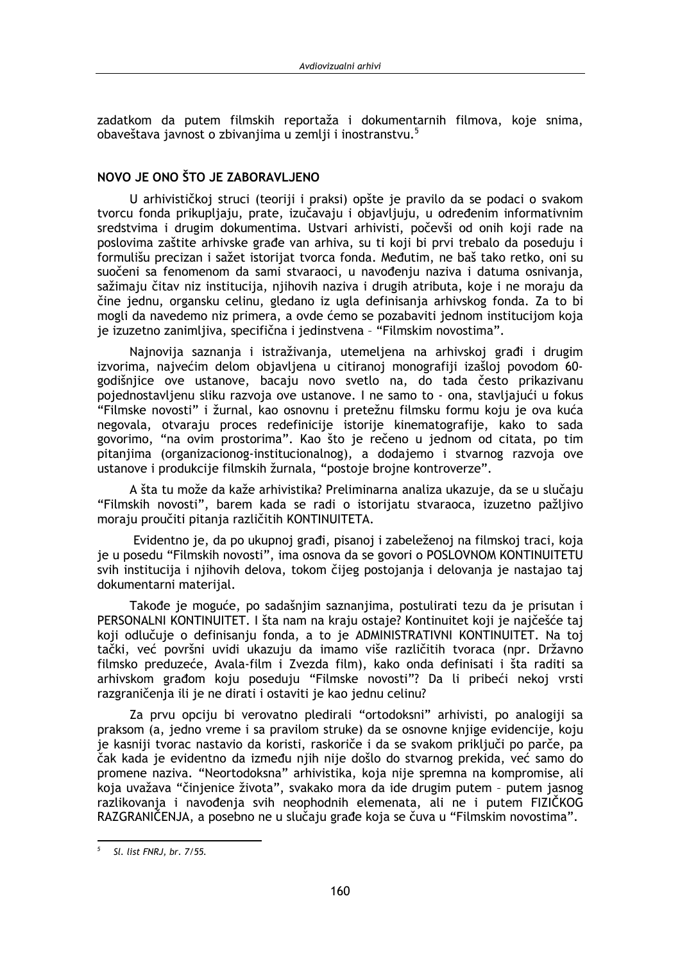zadatkom da putem filmskih reportaža i dokumentarnih filmova, koje snima, obaveštava javnost o zbivanijma u zemlji i inostranstvu.<sup>5</sup>

## NOVO JE ONO ŠTO JE ZABORAVLJENO

U arhivističkoj struci (teoriji i praksi) opšte je pravilo da se podaci o svakom tvorcu fonda prikupljaju, prate, izučavaju i objavljuju, u određenim informativnim sredstvima i drugim dokumentima. Ustvari arhivisti, počevši od onih koji rade na poslovima zaštite arhivske građe van arhiva, su ti koji bi prvi trebalo da poseduju i formulišu precizan i sažet istorijat tvorca fonda. Međutim, ne baš tako retko, oni su suočeni sa fenomenom da sami stvaraoci, u navođeniu naziva i datuma osnivania, sažimaju čitav niz institucija, njihovih naziva i drugih atributa, koje i ne moraju da čine jednu, organsku celinu, gledano iz ugla definisanja arhivskog fonda. Za to bi mogli da navedemo niz primera, a ovde ćemo se pozabaviti jednom institucijom koja je izuzetno zanimljiva, specifična i jedinstvena - "Filmskim novostima".

Najnovija saznanja i istraživanja, utemeljena na arhivskoj građi i drugim izvorima, najvećim delom objavljena u citiranoj monografiji izašloj povodom 60godišnjice ove ustanove, bacaju novo svetlo na, do tada često prikazivanu pojednostavljenu sliku razvoja ove ustanove. I ne samo to - ona, stavljajući u fokus "Filmske novosti" i žurnal, kao osnovnu i pretežnu filmsku formu koju je ova kuća negovala, otvaraju proces redefinicije istorije kinematografije, kako to sada govorimo, "na ovim prostorima". Kao što je rečeno u jednom od citata, po tim pitanjima (organizacionog-institucionalnog), a dodajemo i stvarnog razvoja ove ustanove i produkcije filmskih žurnala, "postoje brojne kontroverze".

A šta tu može da kaže arhivistika? Preliminarna analiza ukazuje, da se u slučaju "Filmskih novosti", barem kada se radi o istorijatu stvaraoca, izuzetno pažljivo moraju proučiti pitanja različitih KONTINUITETA.

Evidentno je, da po ukupnoj građi, pisanoj i zabeleženoj na filmskoj traci, koja je u posedu "Filmskih novosti", ima osnova da se govori o POSLOVNOM KONTINUITETU svih institucija i njihovih delova, tokom čijeg postojanja i delovanja je nastajao taj dokumentarni materijal.

Takođe je moguće, po sadašnjim saznanjima, postulirati tezu da je prisutan i PERSONALNI KONTINUITET. I šta nam na kraju ostaje? Kontinuitet koji je najčešće taj koji odlučuje o definisanju fonda, a to je ADMINISTRATIVNI KONTINUITET. Na toj tački, već površni uvidi ukazuju da imamo više različitih tvoraca (npr. Državno filmsko preduzeće, Avala-film i Zvezda film), kako onda definisati i šta raditi sa arhivskom građom koju poseduju "Filmske novosti"? Da li pribeći nekoj vrsti razgraničenja ili je ne dirati i ostaviti je kao jednu celinu?

Za prvu opciju bi verovatno pledirali "ortodoksni" arhivisti, po analogiji sa praksom (a, jedno vreme i sa pravilom struke) da se osnovne knjige evidencije, koju je kasniji tvorac nastavio da koristi, raskoriče i da se svakom priključi po parče, pa čak kada je evidentno da između njih nije došlo do stvarnog prekida, već samo do promene naziva. "Neortodoksna" arhivistika, koja nije spremna na kompromise, ali koja uvažava "činjenice života", svakako mora da ide drugim putem - putem jasnog razlikovanja i navođenja svih neophodnih elemenata, ali ne i putem FIZIČKOG RAZGRANIČENJA, a posebno ne u slučaju građe koja se čuva u "Filmskim novostima".

 $\overline{5}$ Sl. list FNRJ, br. 7/55.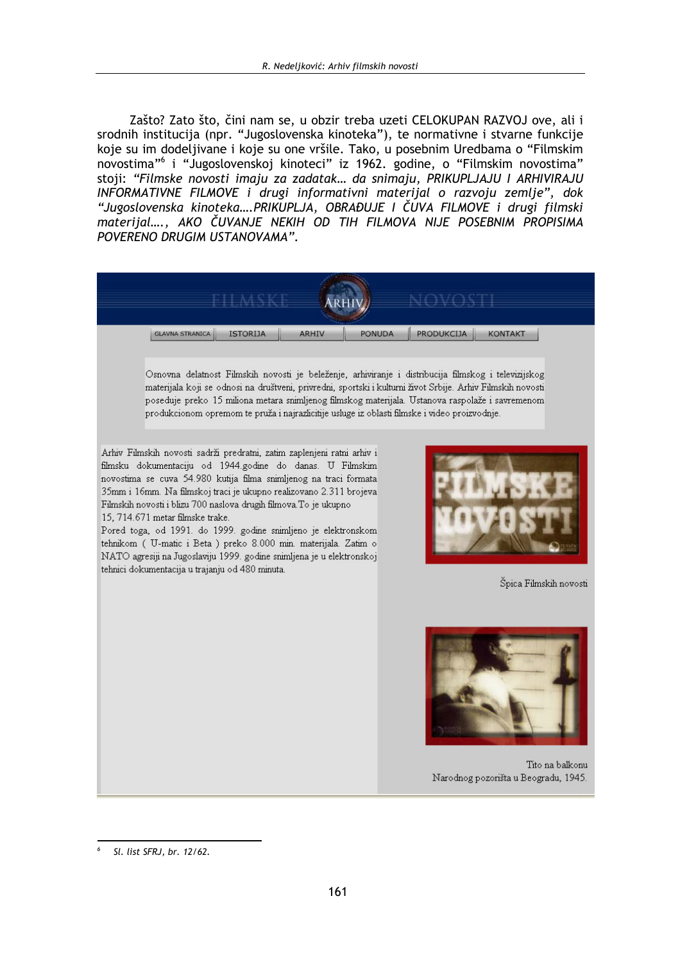Zašto? Zato što, čini nam se, u obzir treba uzeti CELOKUPAN RAZVOJ ove, ali i srodnih institucija (npr. "Jugoslovenska kinoteka"), te normativne i stvarne funkcije koje su im dodeljivane i koje su one vršile. Tako, u posebnim Uredbama o "Filmskim novostima"<sup>6</sup> i "Jugoslovenskoj kinoteci" iz 1962. godine, o "Filmskim novostima" stoji: "Filmske novosti imaju za zadatak... da snimaju, PRIKUPLJAJU I ARHIVIRAJU INFORMATIVNE FILMOVE i drugi informativni materijal o razvoju zemlje", dok "Jugoslovenska kinoteka....PRIKUPLJA, OBRAĐUJE I ČUVA FILMOVE i drugi filmski materijal...., AKO ČUVANJE NEKIH OD TIH FILMOVA NIJE POSEBNIM PROPISIMA POVERENO DRUGIM USTANOVAMA".

| <b>GLAVNA STRANICA</b> | <b>ISTORIJA</b> | <b>ARHIV</b> | <b>PONUDA</b> | PRODUKCIJA | <b>KONTAKT</b> |
|------------------------|-----------------|--------------|---------------|------------|----------------|

Osnovna delatnost Filmskih novosti je beleženje, arhiviranje i distribucija filmskog i televizijskog materijala koji se odnosi na društveni, privredni, sportski i kulturni život Srbije. Arhiv Filmskih novosti poseduje preko 15 miliona metara snimljenog filmskog materijala. Ustanova raspolaže i savremenom produkcionom opremom te pruža i najrazlicitije usluge iz oblasti filmske i video proizvodnje.

Arhiv Filmskih novosti sadrži predratni, zatim zaplenjeni ratni arhiv i filmsku dokumentaciju od 1944.godine do danas. U Filmskim novostima se cuva 54.980 kutija filma snimljenog na traci formata 35mm i 16mm. Na filmskoj traci je ukupno realizovano 2.311 brojeva Filmskih novosti i blizu 700 naslova drugih filmova. To je ukupno 15. 714.671 metar filmske trake.

Pored toga, od 1991. do 1999. godine snimljeno je elektronskom tehnikom ( U-matic i Beta ) preko 8.000 min. materijala. Zatim o NATO agresiji na Jugoslaviju 1999. godine snimljena je u elektronskoj tehnici dokumentacija u trajanju od 480 minuta.



Špica Filmskih novosti



Tito na balkonu Narodnog pozorišta u Beogradu, 1945.

Sl. list SFRJ, br. 12/62.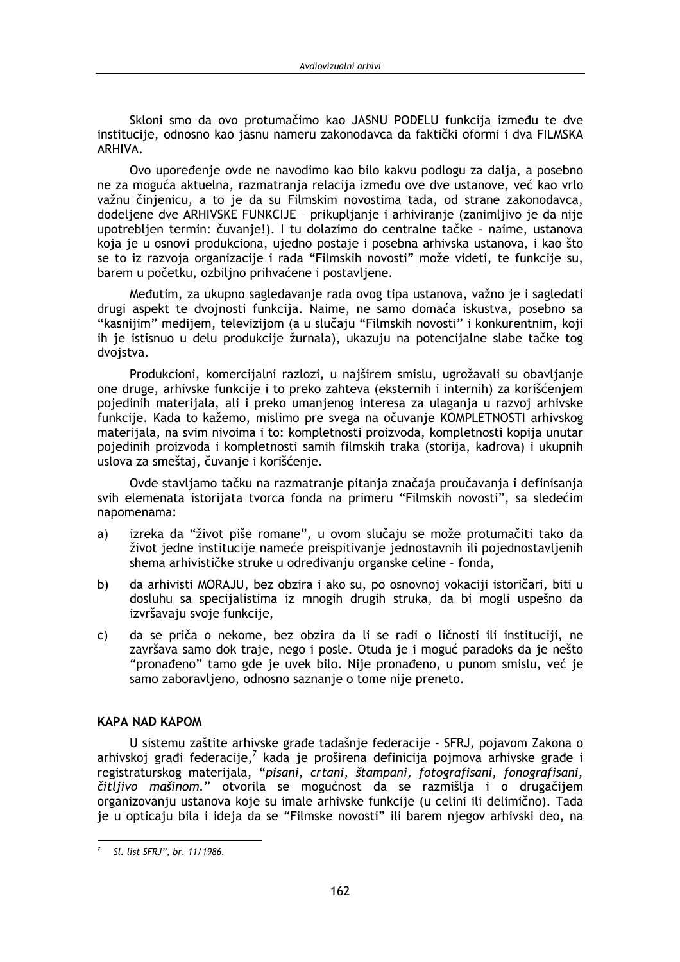Skloni smo da ovo protumačimo kao JASNU PODELU funkcija između te dve institucije, odnosno kao jasnu nameru zakonodavca da faktički oformi i dva FILMSKA ARHIVA.

Ovo upoređenje ovde ne navodimo kao bilo kakvu podlogu za dalja, a posebno ne za moguća aktuelna, razmatrania relacija između ove dve ustanove, već kao vrlo važnu činjenicu, a to je da su Filmskim novostima tada, od strane zakonodavca, dodeljene dve ARHIVSKE FUNKCIJE - prikupljanje i arhiviranje (zanimljivo je da nije upotrebljen termin: čuvanje!). I tu dolazimo do centralne tačke - naime, ustanova koja je u osnovi produkciona, ujedno postaje i posebna arhivska ustanova, i kao što se to iz razvoja organizacije i rada "Filmskih novosti" može videti, te funkcije su, barem u početku, ozbiljno prihvaćene i postavljene.

Međutim, za ukupno sagledavanje rada ovog tipa ustanova, važno je i sagledati drugi aspekt te dvojnosti funkcija. Naime, ne samo domaća iskustva, posebno sa "kasnijim" medijem, televizijom (a u slučaju "Filmskih novosti" i konkurentnim, koji ih je istisnuo u delu produkcije žurnala), ukazuju na potencijalne slabe tačke tog dvoistva.

Produkcioni, komercijalni razlozi, u najširem smislu, ugrožavali su obavljanje one druge, arhivske funkcije i to preko zahteva (eksternih i internih) za korišćenjem pojedinih materijala, ali i preko umanjenog interesa za ulaganja u razvoj arhivske funkcije. Kada to kažemo, mislimo pre svega na očuvanje KOMPLETNOSTI arhivskog materijala, na svim nivoima i to: kompletnosti proizvoda, kompletnosti kopija unutar pojedinih proizvoda i kompletnosti samih filmskih traka (storija, kadrova) i ukupnih uslova za smeštaj, čuvanje i korišćenje.

Ovde stavljamo tačku na razmatranje pitanja značaja proučavanja i definisanja svih elemenata istorijata tvorca fonda na primeru "Filmskih novosti", sa sledećim napomenama:

- izreka da "život piše romane", u ovom slučaju se može protumačiti tako da  $a)$ život jedne institucije nameće preispitivanje jednostavnih ili pojednostavljenih shema arhivističke struke u određivanju organske celine - fonda,
- da arhivisti MORAJU, bez obzira i ako su, po osnovnoj vokaciji istoričari, biti u b) dosluhu sa specijalistima iz mnogih drugih struka, da bi mogli uspešno da izvršavaju svoje funkcije,
- da se priča o nekome, bez obzira da li se radi o ličnosti ili instituciji, ne  $\mathsf{C}$ završava samo dok traje, nego i posle. Otuda je i moguć paradoks da je nešto "pronađeno" tamo gde je uvek bilo. Nije pronađeno, u punom smislu, već je samo zaboravljeno, odnosno saznanje o tome nije preneto.

## **KAPA NAD KAPOM**

U sistemu zaštite arhivske građe tadašnje federacije - SFRJ, pojavom Zakona o arhivskoj građi federacije,<sup>7</sup> kada je proširena definicija pojmova arhivske građe i registraturskog materijala, "pisani, crtani, štampani, fotografisani, fonografisani, čitljivo mašinom." otvorila se mogućnost da se razmišlja i o drugačijem organizovanju ustanova koje su imale arhivske funkcije (u celini ili delimično). Tada je u opticaju bila i ideja da se "Filmske novosti" ili barem njegov arhivski deo, na

<sup>&</sup>lt;sup>7</sup> Sl. list SFRJ", br. 11/1986.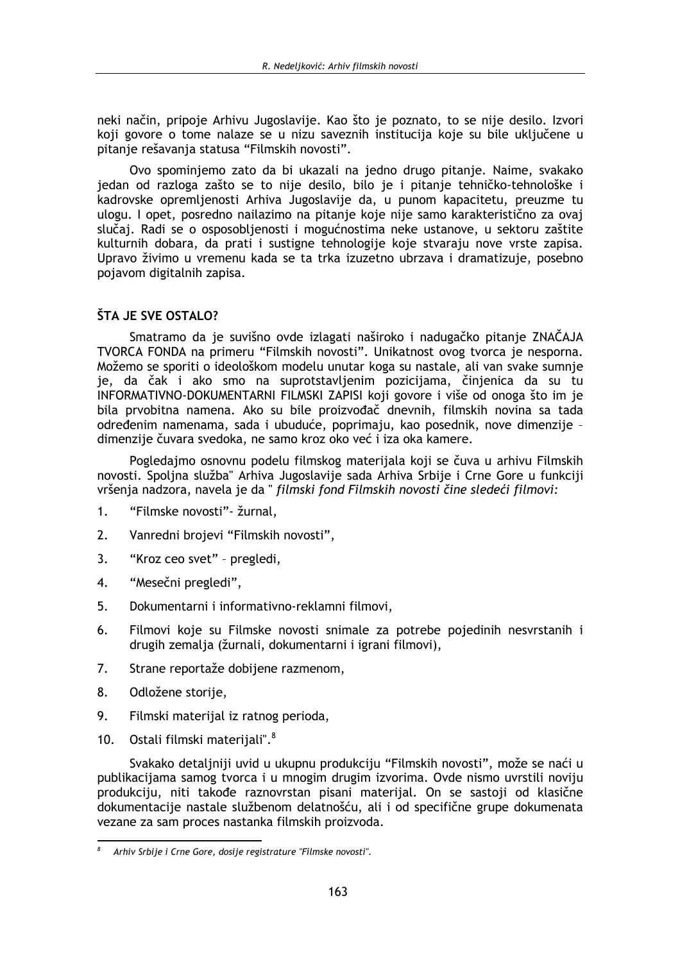neki način, pripoje Arhivu Jugoslavije. Kao što je poznato, to se nije desilo. Izvori koji govore o tome nalaze se u nizu saveznih institucija koje su bile uključene u pitanie rešavania statusa "Filmskih novosti".

Ovo spominiemo zato da bi ukazali na jedno drugo pitanie. Naime, svakako jedan od razloga zašto se to nije desilo, bilo je i pitanje tehničko-tehnološke i kadrovske opremljenosti Arhiva Jugoslavije da, u punom kapacitetu, preuzme tu ulogu. I opet, posredno nailazimo na pitanje koje nije samo karakteristično za ovaj slučaj. Radi se o osposobljenosti i mogućnostima neke ustanove, u sektoru zaštite kulturnih dobara, da prati i sustigne tehnologije koje stvaraju nove vrste zapisa. Upravo živimo u vremenu kada se ta trka izuzetno ubrzava i dramatizuje, posebno pojavom digitalnih zapisa.

## **ŠTA JE SVE OSTALO?**

Smatramo da je suvišno ovde izlagati naširoko i nadugačko pitanje ZNAČAJA TVORCA FONDA na primeru "Filmskih novosti". Unikatnost ovog tvorca je nesporna. Možemo se sporiti o ideološkom modelu unutar koga su nastale, ali van svake sumnje je, da čak i ako smo na suprotstavljenim pozicijama, činjenica da su tu INFORMATIVNO-DOKUMENTARNI FILMSKI ZAPISI koji govore i više od onoga što im je bila prvobitna namena. Ako su bile proizvođač dnevnih, filmskih novina sa tada određenim namenama, sada i ubuduće, poprimaju, kao posednik, nove dimenzije dimenzije čuvara svedoka, ne samo kroz oko već i iza oka kamere.

Pogledajmo osnovnu podelu filmskog materijala koji se čuva u arhivu Filmskih novosti. Spoljna služba" Arhiva Jugoslavije sada Arhiva Srbije i Crne Gore u funkciji vršenja nadzora, navela je da " filmski fond Filmskih novosti čine sledeći filmovi:

- "Filmske novosti" žurnal.  $1<sup>1</sup>$
- $2<sub>1</sub>$ Vanredni brojevi "Filmskih novosti",
- "Kroz ceo svet" pregledi, 3.
- $\overline{4}$ . "Mesečni pregledi".
- 5. Dokumentarni i informativno-reklamni filmovi,
- 6. Filmovi koje su Filmske novosti snimale za potrebe pojedinih nesvrstanih i drugih zemalja (žurnali, dokumentarni i igrani filmovi),
- 7. Strane reportaže dobijene razmenom,
- 8. Odložene storije,
- 9. Filmski materijal iz ratnog perioda,
- 0stali filmski materijali".<sup>8</sup>  $10.$

Svakako detaljniji uvid u ukupnu produkciju "Filmskih novosti", može se naći u publikacijama samog tvorca i u mnogim drugim izvorima. Ovde nismo uvrstili noviju produkciju, niti takođe raznovrstan pisani materijal. On se sastoji od klasične dokumentacije nastale službenom delatnošću, ali i od specifične grupe dokumenata vezane za sam proces nastanka filmskih proizvoda.

 $\boldsymbol{s}$ Arhiv Srbije i Crne Gore, dosije registrature "Filmske novosti".